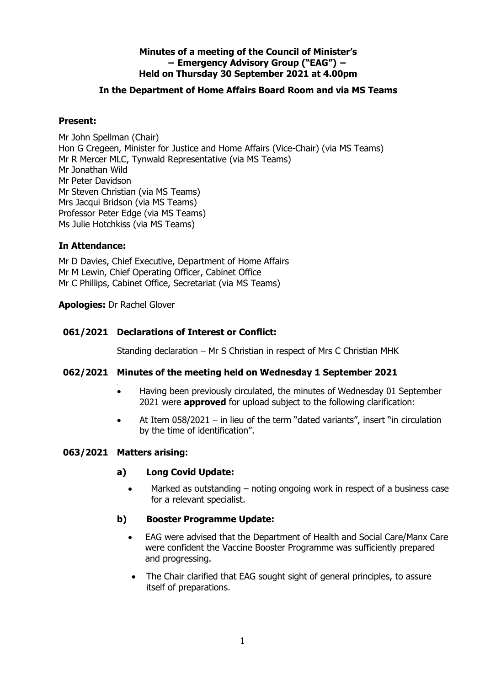# **Minutes of a meeting of the Council of Minister's − Emergency Advisory Group ("EAG") − Held on Thursday 30 September 2021 at 4.00pm**

# **In the Department of Home Affairs Board Room and via MS Teams**

# **Present:**

Mr John Spellman (Chair) Hon G Cregeen, Minister for Justice and Home Affairs (Vice-Chair) (via MS Teams) Mr R Mercer MLC, Tynwald Representative (via MS Teams) Mr Jonathan Wild Mr Peter Davidson Mr Steven Christian (via MS Teams) Mrs Jacqui Bridson (via MS Teams) Professor Peter Edge (via MS Teams) Ms Julie Hotchkiss (via MS Teams)

#### **In Attendance:**

Mr D Davies, Chief Executive, Department of Home Affairs Mr M Lewin, Chief Operating Officer, Cabinet Office Mr C Phillips, Cabinet Office, Secretariat (via MS Teams)

#### **Apologies:** Dr Rachel Glover

# **061/2021 Declarations of Interest or Conflict:**

Standing declaration – Mr S Christian in respect of Mrs C Christian MHK

# **062/2021 Minutes of the meeting held on Wednesday 1 September 2021**

- Having been previously circulated, the minutes of Wednesday 01 September 2021 were **approved** for upload subject to the following clarification:
- At Item 058/2021 in lieu of the term "dated variants", insert "in circulation by the time of identification".

#### **063/2021 Matters arising:**

#### **a) Long Covid Update:**

Marked as outstanding – noting ongoing work in respect of a business case for a relevant specialist.

# **b) Booster Programme Update:**

- EAG were advised that the Department of Health and Social Care/Manx Care were confident the Vaccine Booster Programme was sufficiently prepared and progressing.
- The Chair clarified that EAG sought sight of general principles, to assure itself of preparations.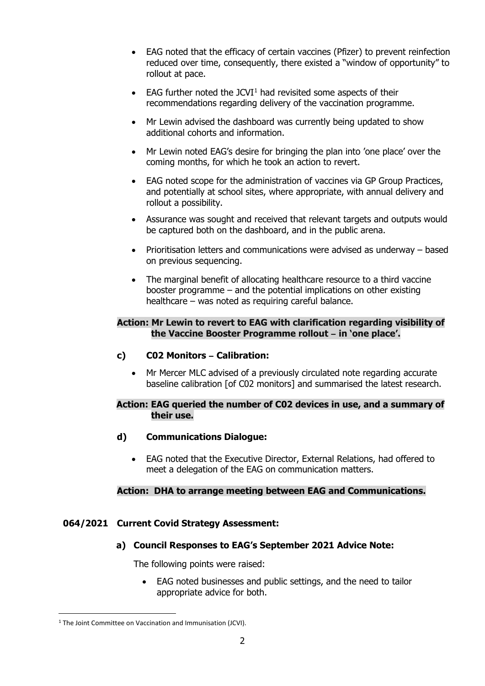- EAG noted that the efficacy of certain vaccines (Pfizer) to prevent reinfection reduced over time, consequently, there existed a "window of opportunity" to rollout at pace.
- EAG further noted the JCVI<sup>[1](#page-1-0)</sup> had revisited some aspects of their recommendations regarding delivery of the vaccination programme.
- Mr Lewin advised the dashboard was currently being updated to show additional cohorts and information.
- Mr Lewin noted EAG's desire for bringing the plan into 'one place' over the coming months, for which he took an action to revert.
- EAG noted scope for the administration of vaccines via GP Group Practices, and potentially at school sites, where appropriate, with annual delivery and rollout a possibility.
- Assurance was sought and received that relevant targets and outputs would be captured both on the dashboard, and in the public arena.
- Prioritisation letters and communications were advised as underway based on previous sequencing.
- The marginal benefit of allocating healthcare resource to a third vaccine booster programme – and the potential implications on other existing healthcare – was noted as requiring careful balance.

#### **Action: Mr Lewin to revert to EAG with clarification regarding visibility of the Vaccine Booster Programme rollout ̶ in 'one place'.**

- **c) C02 Monitors ̶ Calibration:**
	- Mr Mercer MLC advised of a previously circulated note regarding accurate baseline calibration [of C02 monitors] and summarised the latest research.

# **Action: EAG queried the number of C02 devices in use, and a summary of their use.**

- **d) Communications Dialogue:**
	- EAG noted that the Executive Director, External Relations, had offered to meet a delegation of the EAG on communication matters.

# **Action: DHA to arrange meeting between EAG and Communications.**

# **064/2021 Current Covid Strategy Assessment:**

# **a) Council Responses to EAG's September 2021 Advice Note:**

The following points were raised:

• EAG noted businesses and public settings, and the need to tailor appropriate advice for both.

-

<span id="page-1-0"></span><sup>&</sup>lt;sup>1</sup> The Joint Committee on Vaccination and Immunisation (JCVI).